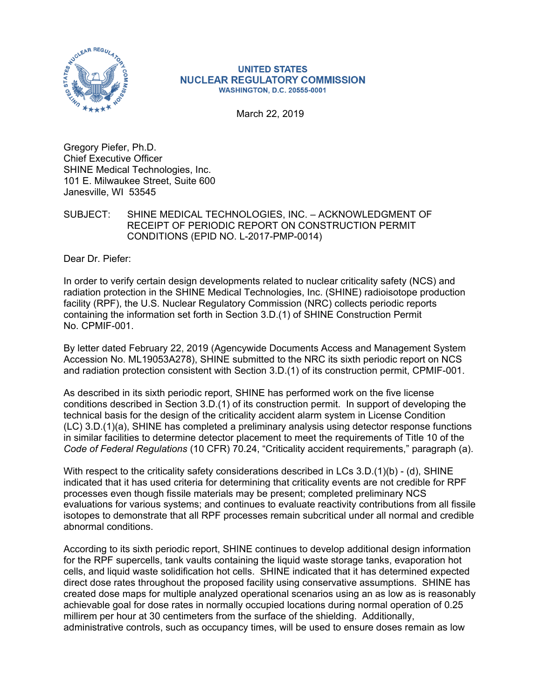

## **UNITED STATES NUCLEAR REGULATORY COMMISSION WASHINGTON, D.C. 20555-0001**

March 22, 2019

Gregory Piefer, Ph.D. Chief Executive Officer SHINE Medical Technologies, Inc. 101 E. Milwaukee Street, Suite 600 Janesville, WI 53545

## SUBJECT: SHINE MEDICAL TECHNOLOGIES, INC. – ACKNOWLEDGMENT OF RECEIPT OF PERIODIC REPORT ON CONSTRUCTION PERMIT CONDITIONS (EPID NO. L-2017-PMP-0014)

Dear Dr. Piefer:

In order to verify certain design developments related to nuclear criticality safety (NCS) and radiation protection in the SHINE Medical Technologies, Inc. (SHINE) radioisotope production facility (RPF), the U.S. Nuclear Regulatory Commission (NRC) collects periodic reports containing the information set forth in Section 3.D.(1) of SHINE Construction Permit No. CPMIF-001.

By letter dated February 22, 2019 (Agencywide Documents Access and Management System Accession No. ML19053A278), SHINE submitted to the NRC its sixth periodic report on NCS and radiation protection consistent with Section 3.D.(1) of its construction permit, CPMIF-001.

As described in its sixth periodic report, SHINE has performed work on the five license conditions described in Section 3.D.(1) of its construction permit. In support of developing the technical basis for the design of the criticality accident alarm system in License Condition (LC) 3.D.(1)(a), SHINE has completed a preliminary analysis using detector response functions in similar facilities to determine detector placement to meet the requirements of Title 10 of the *Code of Federal Regulations* (10 CFR) 70.24, "Criticality accident requirements," paragraph (a).

With respect to the criticality safety considerations described in LCs  $3.D.(1)(b) - (d)$ , SHINE indicated that it has used criteria for determining that criticality events are not credible for RPF processes even though fissile materials may be present; completed preliminary NCS evaluations for various systems; and continues to evaluate reactivity contributions from all fissile isotopes to demonstrate that all RPF processes remain subcritical under all normal and credible abnormal conditions.

According to its sixth periodic report, SHINE continues to develop additional design information for the RPF supercells, tank vaults containing the liquid waste storage tanks, evaporation hot cells, and liquid waste solidification hot cells. SHINE indicated that it has determined expected direct dose rates throughout the proposed facility using conservative assumptions. SHINE has created dose maps for multiple analyzed operational scenarios using an as low as is reasonably achievable goal for dose rates in normally occupied locations during normal operation of 0.25 millirem per hour at 30 centimeters from the surface of the shielding. Additionally, administrative controls, such as occupancy times, will be used to ensure doses remain as low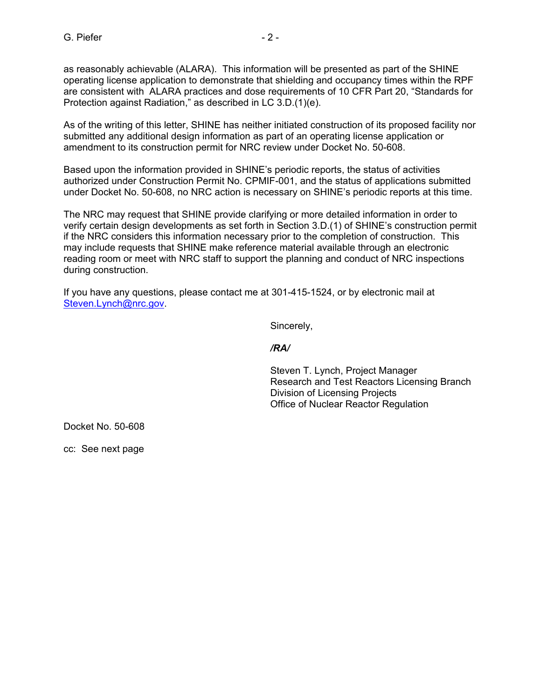as reasonably achievable (ALARA). This information will be presented as part of the SHINE operating license application to demonstrate that shielding and occupancy times within the RPF are consistent with ALARA practices and dose requirements of 10 CFR Part 20, "Standards for Protection against Radiation," as described in LC 3.D.(1)(e).

As of the writing of this letter, SHINE has neither initiated construction of its proposed facility nor submitted any additional design information as part of an operating license application or amendment to its construction permit for NRC review under Docket No. 50-608.

Based upon the information provided in SHINE's periodic reports, the status of activities authorized under Construction Permit No. CPMIF-001, and the status of applications submitted under Docket No. 50-608, no NRC action is necessary on SHINE's periodic reports at this time.

The NRC may request that SHINE provide clarifying or more detailed information in order to verify certain design developments as set forth in Section 3.D.(1) of SHINE's construction permit if the NRC considers this information necessary prior to the completion of construction. This may include requests that SHINE make reference material available through an electronic reading room or meet with NRC staff to support the planning and conduct of NRC inspections during construction.

If you have any questions, please contact me at 301-415-1524, or by electronic mail at Steven.Lynch@nrc.gov.

Sincerely,

*/RA/* 

Steven T. Lynch, Project Manager Research and Test Reactors Licensing Branch Division of Licensing Projects Office of Nuclear Reactor Regulation

Docket No. 50-608

cc: See next page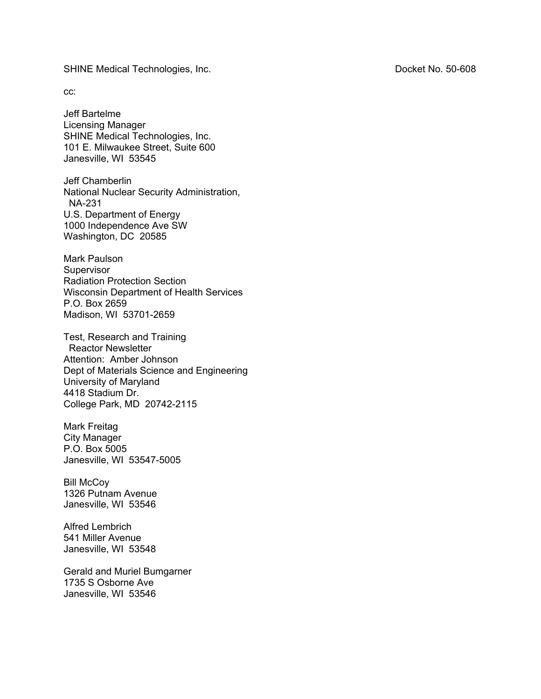SHINE Medical Technologies, Inc. **Docket No. 50-608** 

cc:

Jeff Bartelme Licensing Manager SHINE Medical Technologies, Inc. 101 E. Milwaukee Street, Suite 600 Janesville, WI 53545

Jeff Chamberlin National Nuclear Security Administration, NA-231 U.S. Department of Energy 1000 Independence Ave SW Washington, DC 20585

Mark Paulson **Supervisor** Radiation Protection Section Wisconsin Department of Health Services P.O. Box 2659 Madison, WI 53701-2659

Test, Research and Training Reactor Newsletter Attention: Amber Johnson Dept of Materials Science and Engineering University of Maryland 4418 Stadium Dr. College Park, MD 20742-2115

Mark Freitag City Manager P.O. Box 5005 Janesville, WI 53547-5005

Bill McCoy 1326 Putnam Avenue Janesville, WI 53546

Alfred Lembrich 541 Miller Avenue Janesville, WI 53548

Gerald and Muriel Bumgarner 1735 S Osborne Ave Janesville, WI 53546